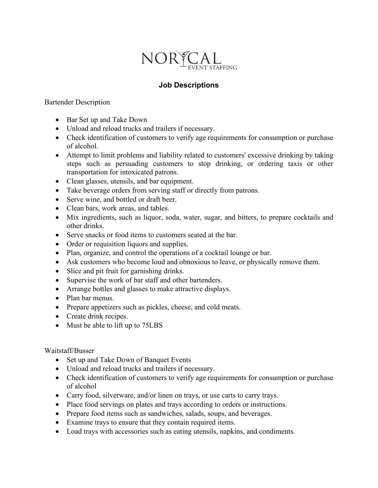

## **Job Descriptions**

Bartender Description

- Bar Set up and Take Down
- Unload and reload trucks and trailers if necessary.
- Check identification of customers to verify age requirements for consumption or purchase of alcohol.
- Attempt to limit problems and liability related to customers' excessive drinking by taking steps such as persuading customers to stop drinking, or ordering taxis or other transportation for intoxicated patrons.
- Clean glasses, utensils, and bar equipment.
- Take beverage orders from serving staff or directly from patrons.
- Serve wine, and bottled or draft beer.
- Clean bars, work areas, and tables.
- Mix ingredients, such as liquor, soda, water, sugar, and bitters, to prepare cocktails and other drinks.
- Serve snacks or food items to customers seated at the bar.
- Order or requisition liquors and supplies.
- Plan, organize, and control the operations of a cocktail lounge or bar.
- Ask customers who become loud and obnoxious to leave, or physically remove them.
- Slice and pit fruit for garnishing drinks.
- Supervise the work of bar staff and other bartenders.
- Arrange bottles and glasses to make attractive displays.
- Plan bar menus.
- Prepare appetizers such as pickles, cheese, and cold meats.
- Create drink recipes.
- Must be able to lift up to 75LBS

## Waitstaff/Busser

- Set up and Take Down of Banquet Events
- Unload and reload trucks and trailers if necessary.
- Check identification of customers to verify age requirements for consumption or purchase of alcohol
- Carry food, silverware, and/or linen on trays, or use carts to carry trays.
- Place food servings on plates and trays according to orders or instructions.
- Prepare food items such as sandwiches, salads, soups, and beverages.
- Examine trays to ensure that they contain required items.
- Load trays with accessories such as eating utensils, napkins, and condiments.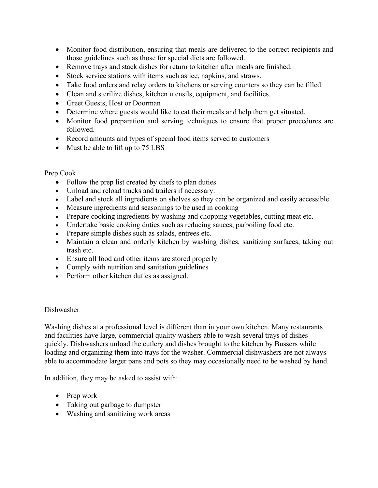- Monitor food distribution, ensuring that meals are delivered to the correct recipients and those guidelines such as those for special diets are followed.
- Remove trays and stack dishes for return to kitchen after meals are finished.
- Stock service stations with items such as ice, napkins, and straws.
- Take food orders and relay orders to kitchens or serving counters so they can be filled.
- Clean and sterilize dishes, kitchen utensils, equipment, and facilities.
- Greet Guests, Host or Doorman
- Determine where guests would like to eat their meals and help them get situated.
- Monitor food preparation and serving techniques to ensure that proper procedures are followed.
- Record amounts and types of special food items served to customers
- Must be able to lift up to 75 LBS

## Prep Cook

- Follow the prep list created by chefs to plan duties
- Unload and reload trucks and trailers if necessary.
- Label and stock all ingredients on shelves so they can be organized and easily accessible
- Measure ingredients and seasonings to be used in cooking
- Prepare cooking ingredients by washing and chopping vegetables, cutting meat etc.
- Undertake basic cooking duties such as reducing sauces, parboiling food etc.
- Prepare simple dishes such as salads, entrees etc.
- Maintain a clean and orderly kitchen by washing dishes, sanitizing surfaces, taking out trash etc.
- Ensure all food and other items are stored properly
- Comply with nutrition and sanitation guidelines
- Perform other kitchen duties as assigned.

## Dishwasher

Washing dishes at a professional level is different than in your own kitchen. Many restaurants and facilities have large, commercial quality washers able to wash several trays of dishes quickly. Dishwashers unload the cutlery and dishes brought to the kitchen by Bussers while loading and organizing them into trays for the washer. Commercial dishwashers are not always able to accommodate larger pans and pots so they may occasionally need to be washed by hand.

In addition, they may be asked to assist with:

- Prep work
- Taking out garbage to dumpster
- Washing and sanitizing work areas